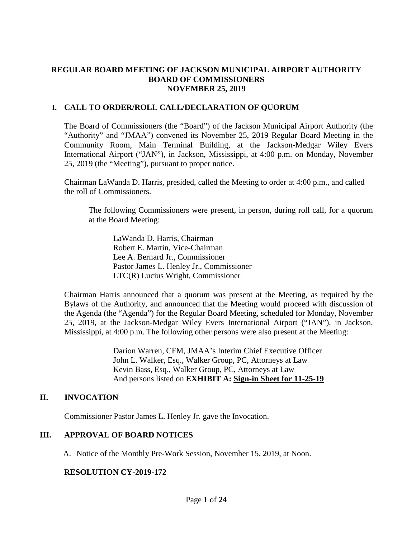# **REGULAR BOARD MEETING OF JACKSON MUNICIPAL AIRPORT AUTHORITY BOARD OF COMMISSIONERS NOVEMBER 25, 2019**

# **I. CALL TO ORDER/ROLL CALL/DECLARATION OF QUORUM**

The Board of Commissioners (the "Board") of the Jackson Municipal Airport Authority (the "Authority" and "JMAA") convened its November 25, 2019 Regular Board Meeting in the Community Room, Main Terminal Building, at the Jackson-Medgar Wiley Evers International Airport ("JAN"), in Jackson, Mississippi, at 4:00 p.m. on Monday, November 25, 2019 (the "Meeting"), pursuant to proper notice.

Chairman LaWanda D. Harris, presided, called the Meeting to order at 4:00 p.m., and called the roll of Commissioners.

The following Commissioners were present, in person, during roll call, for a quorum at the Board Meeting:

LaWanda D. Harris, Chairman Robert E. Martin, Vice-Chairman Lee A. Bernard Jr., Commissioner Pastor James L. Henley Jr., Commissioner LTC(R) Lucius Wright, Commissioner

Chairman Harris announced that a quorum was present at the Meeting, as required by the Bylaws of the Authority, and announced that the Meeting would proceed with discussion of the Agenda (the "Agenda") for the Regular Board Meeting, scheduled for Monday, November 25, 2019, at the Jackson-Medgar Wiley Evers International Airport ("JAN"), in Jackson, Mississippi, at 4:00 p.m. The following other persons were also present at the Meeting:

> Darion Warren, CFM, JMAA's Interim Chief Executive Officer John L. Walker, Esq., Walker Group, PC, Attorneys at Law Kevin Bass, Esq., Walker Group, PC, Attorneys at Law And persons listed on **EXHIBIT A: Sign-in Sheet for 11-25-19**

# **II. INVOCATION**

Commissioner Pastor James L. Henley Jr. gave the Invocation.

# **III. APPROVAL OF BOARD NOTICES**

A. Notice of the Monthly Pre-Work Session, November 15, 2019, at Noon.

# **RESOLUTION CY-2019-172**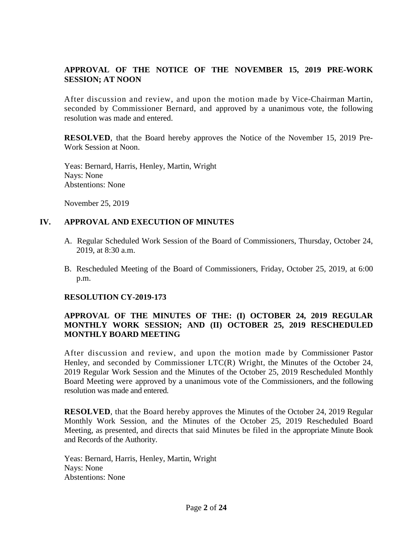# **APPROVAL OF THE NOTICE OF THE NOVEMBER 15, 2019 PRE-WORK SESSION; AT NOON**

After discussion and review, and upon the motion made by Vice-Chairman Martin, seconded by Commissioner Bernard, and approved by a unanimous vote, the following resolution was made and entered.

**RESOLVED**, that the Board hereby approves the Notice of the November 15, 2019 Pre-Work Session at Noon.

Yeas: Bernard, Harris, Henley, Martin, Wright Nays: None Abstentions: None

November 25, 2019

### **IV. APPROVAL AND EXECUTION OF MINUTES**

- A. Regular Scheduled Work Session of the Board of Commissioners, Thursday, October 24, 2019, at 8:30 a.m.
- B. Rescheduled Meeting of the Board of Commissioners, Friday, October 25, 2019, at 6:00 p.m.

#### **RESOLUTION CY-2019-173**

# **APPROVAL OF THE MINUTES OF THE: (I) OCTOBER 24, 2019 REGULAR MONTHLY WORK SESSION; AND (II) OCTOBER 25, 2019 RESCHEDULED MONTHLY BOARD MEETING**

After discussion and review, and upon the motion made by Commissioner Pastor Henley, and seconded by Commissioner LTC(R) Wright, the Minutes of the October 24, 2019 Regular Work Session and the Minutes of the October 25, 2019 Rescheduled Monthly Board Meeting were approved by a unanimous vote of the Commissioners, and the following resolution was made and entered.

**RESOLVED**, that the Board hereby approves the Minutes of the October 24, 2019 Regular Monthly Work Session, and the Minutes of the October 25, 2019 Rescheduled Board Meeting, as presented, and directs that said Minutes be filed in the appropriate Minute Book and Records of the Authority.

Yeas: Bernard, Harris, Henley, Martin, Wright Nays: None Abstentions: None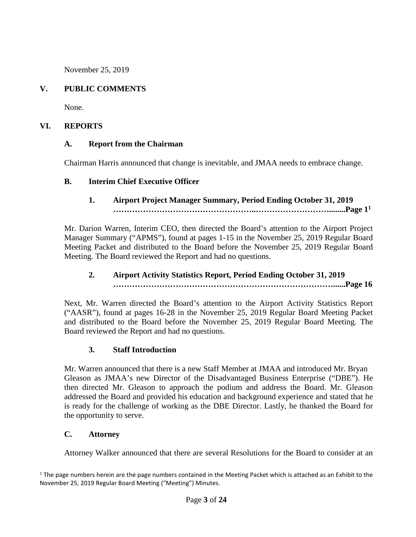November 25, 2019

# **V. PUBLIC COMMENTS**

None.

# **VI. REPORTS**

# **A. Report from the Chairman**

Chairman Harris announced that change is inevitable, and JMAA needs to embrace change.

# **B. Interim Chief Executive Officer**

# **1. Airport Project Manager Summary, Period Ending October 31, 2019 ……………………………………………..………………………........Page [1](#page-2-0)<sup>1</sup>**

Mr. Darion Warren, Interim CEO, then directed the Board's attention to the Airport Project Manager Summary ("APMS"), found at pages 1-15 in the November 25, 2019 Regular Board Meeting Packet and distributed to the Board before the November 25, 2019 Regular Board Meeting. The Board reviewed the Report and had no questions.

# **2. Airport Activity Statistics Report, Period Ending October 31, 2019 ………………………………………………………………………......Page 16**

Next, Mr. Warren directed the Board's attention to the Airport Activity Statistics Report ("AASR"), found at pages 16-28 in the November 25, 2019 Regular Board Meeting Packet and distributed to the Board before the November 25, 2019 Regular Board Meeting. The Board reviewed the Report and had no questions.

# **3. Staff Introduction**

Mr. Warren announced that there is a new Staff Member at JMAA and introduced Mr. Bryan Gleason as JMAA's new Director of the Disadvantaged Business Enterprise ("DBE"). He then directed Mr. Gleason to approach the podium and address the Board. Mr. Gleason addressed the Board and provided his education and background experience and stated that he is ready for the challenge of working as the DBE Director. Lastly, he thanked the Board for the opportunity to serve.

# **C. Attorney**

Attorney Walker announced that there are several Resolutions for the Board to consider at an

<span id="page-2-0"></span> $1$  The page numbers herein are the page numbers contained in the Meeting Packet which is attached as an Exhibit to the November 25, 2019 Regular Board Meeting ("Meeting") Minutes.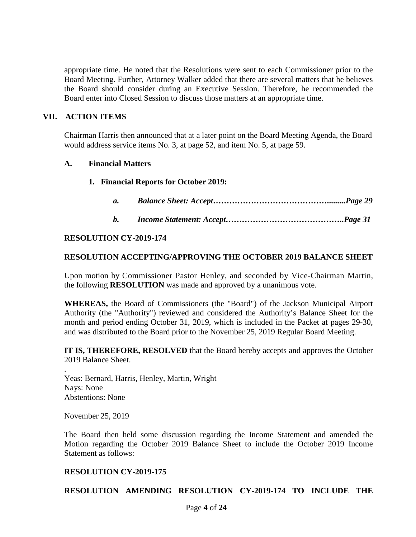appropriate time. He noted that the Resolutions were sent to each Commissioner prior to the Board Meeting. Further, Attorney Walker added that there are several matters that he believes the Board should consider during an Executive Session. Therefore, he recommended the Board enter into Closed Session to discuss those matters at an appropriate time.

#### **VII. ACTION ITEMS**

Chairman Harris then announced that at a later point on the Board Meeting Agenda, the Board would address service items No. 3, at page 52, and item No. 5, at page 59.

#### **A. Financial Matters**

#### **1. Financial Reports for October 2019:**

| a. |  |  |
|----|--|--|
|----|--|--|

*b. Income Statement: Accept……………………………………..Page 31*

#### **RESOLUTION CY-2019-174**

#### **RESOLUTION ACCEPTING/APPROVING THE OCTOBER 2019 BALANCE SHEET**

Upon motion by Commissioner Pastor Henley, and seconded by Vice-Chairman Martin, the following **RESOLUTION** was made and approved by a unanimous vote.

**WHEREAS,** the Board of Commissioners (the "Board") of the Jackson Municipal Airport Authority (the "Authority") reviewed and considered the Authority's Balance Sheet for the month and period ending October 31, 2019, which is included in the Packet at pages 29-30, and was distributed to the Board prior to the November 25, 2019 Regular Board Meeting.

**IT IS, THEREFORE, RESOLVED** that the Board hereby accepts and approves the October 2019 Balance Sheet.

Yeas: Bernard, Harris, Henley, Martin, Wright Nays: None Abstentions: None

November 25, 2019

.

The Board then held some discussion regarding the Income Statement and amended the Motion regarding the October 2019 Balance Sheet to include the October 2019 Income Statement as follows:

#### **RESOLUTION CY-2019-175**

**RESOLUTION AMENDING RESOLUTION CY-2019-174 TO INCLUDE THE**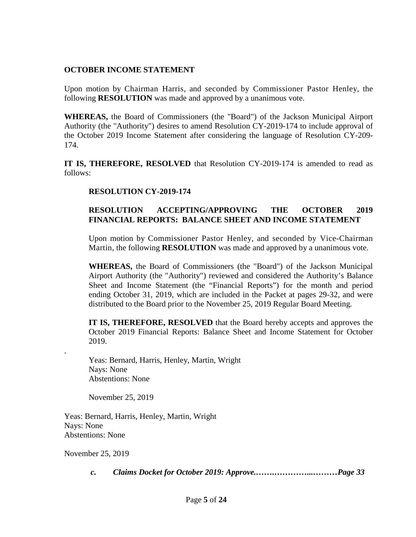### **OCTOBER INCOME STATEMENT**

Upon motion by Chairman Harris, and seconded by Commissioner Pastor Henley, the following **RESOLUTION** was made and approved by a unanimous vote.

**WHEREAS,** the Board of Commissioners (the "Board") of the Jackson Municipal Airport Authority (the "Authority") desires to amend Resolution CY-2019-174 to include approval of the October 2019 Income Statement after considering the language of Resolution CY-209- 174.

**IT IS, THEREFORE, RESOLVED** that Resolution CY-2019-174 is amended to read as follows:

### **RESOLUTION CY-2019-174**

# **RESOLUTION ACCEPTING/APPROVING THE OCTOBER 2019 FINANCIAL REPORTS: BALANCE SHEET AND INCOME STATEMENT**

Upon motion by Commissioner Pastor Henley, and seconded by Vice-Chairman Martin, the following **RESOLUTION** was made and approved by a unanimous vote.

**WHEREAS,** the Board of Commissioners (the "Board") of the Jackson Municipal Airport Authority (the "Authority") reviewed and considered the Authority's Balance Sheet and Income Statement (the "Financial Reports") for the month and period ending October 31, 2019, which are included in the Packet at pages 29-32, and were distributed to the Board prior to the November 25, 2019 Regular Board Meeting.

**IT IS, THEREFORE, RESOLVED** that the Board hereby accepts and approves the October 2019 Financial Reports: Balance Sheet and Income Statement for October 2019.

Yeas: Bernard, Harris, Henley, Martin, Wright Nays: None Abstentions: None

November 25, 2019

Yeas: Bernard, Harris, Henley, Martin, Wright Nays: None Abstentions: None

November 25, 2019

.

*c. Claims Docket for October 2019: Approve.…….…………...………Page 33*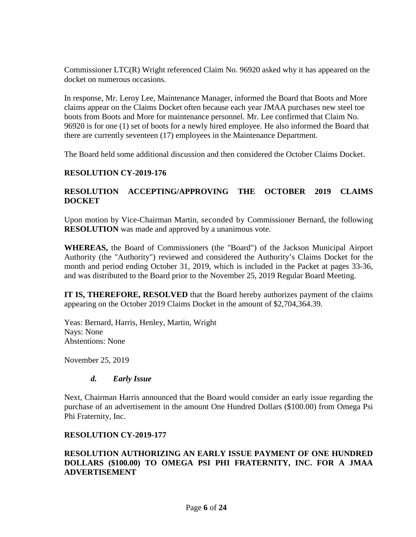Commissioner LTC(R) Wright referenced Claim No. 96920 asked why it has appeared on the docket on numerous occasions.

In response, Mr. Leroy Lee, Maintenance Manager, informed the Board that Boots and More claims appear on the Claims Docket often because each year JMAA purchases new steel toe boots from Boots and More for maintenance personnel. Mr. Lee confirmed that Claim No. 96920 is for one (1) set of boots for a newly hired employee. He also informed the Board that there are currently seventeen (17) employees in the Maintenance Department.

The Board held some additional discussion and then considered the October Claims Docket.

#### **RESOLUTION CY-2019-176**

# **RESOLUTION ACCEPTING/APPROVING THE OCTOBER 2019 CLAIMS DOCKET**

Upon motion by Vice-Chairman Martin, seconded by Commissioner Bernard, the following **RESOLUTION** was made and approved by a unanimous vote.

**WHEREAS,** the Board of Commissioners (the "Board") of the Jackson Municipal Airport Authority (the "Authority") reviewed and considered the Authority's Claims Docket for the month and period ending October 31, 2019, which is included in the Packet at pages 33-36, and was distributed to the Board prior to the November 25, 2019 Regular Board Meeting.

**IT IS, THEREFORE, RESOLVED** that the Board hereby authorizes payment of the claims appearing on the October 2019 Claims Docket in the amount of \$2,704,364.39.

Yeas: Bernard, Harris, Henley, Martin, Wright Nays: None Abstentions: None

November 25, 2019

#### *d. Early Issue*

Next, Chairman Harris announced that the Board would consider an early issue regarding the purchase of an advertisement in the amount One Hundred Dollars (\$100.00) from Omega Psi Phi Fraternity, Inc.

#### **RESOLUTION CY-2019-177**

### **RESOLUTION AUTHORIZING AN EARLY ISSUE PAYMENT OF ONE HUNDRED DOLLARS (\$100.00) TO OMEGA PSI PHI FRATERNITY, INC. FOR A JMAA ADVERTISEMENT**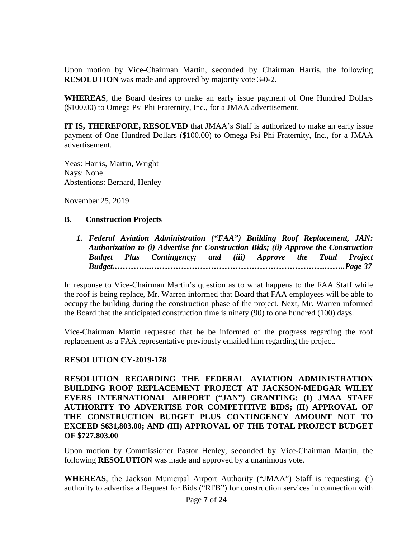Upon motion by Vice-Chairman Martin, seconded by Chairman Harris, the following **RESOLUTION** was made and approved by majority vote 3-0-2.

**WHEREAS**, the Board desires to make an early issue payment of One Hundred Dollars (\$100.00) to Omega Psi Phi Fraternity, Inc., for a JMAA advertisement.

**IT IS, THEREFORE, RESOLVED** that JMAA's Staff is authorized to make an early issue payment of One Hundred Dollars (\$100.00) to Omega Psi Phi Fraternity, Inc., for a JMAA advertisement.

Yeas: Harris, Martin, Wright Nays: None Abstentions: Bernard, Henley

November 25, 2019

### **B. Construction Projects**

*1. Federal Aviation Administration ("FAA") Building Roof Replacement, JAN: Authorization to (i) Advertise for Construction Bids; (ii) Approve the Construction Budget Plus Contingency; and (iii) Approve the Total Project Budget.…………..……………………………………………………….……..Page 37*

In response to Vice-Chairman Martin's question as to what happens to the FAA Staff while the roof is being replace, Mr. Warren informed that Board that FAA employees will be able to occupy the building during the construction phase of the project. Next, Mr. Warren informed the Board that the anticipated construction time is ninety (90) to one hundred (100) days.

Vice-Chairman Martin requested that he be informed of the progress regarding the roof replacement as a FAA representative previously emailed him regarding the project.

# **RESOLUTION CY-2019-178**

**RESOLUTION REGARDING THE FEDERAL AVIATION ADMINISTRATION BUILDING ROOF REPLACEMENT PROJECT AT JACKSON-MEDGAR WILEY EVERS INTERNATIONAL AIRPORT ("JAN") GRANTING: (I) JMAA STAFF AUTHORITY TO ADVERTISE FOR COMPETITIVE BIDS; (II) APPROVAL OF THE CONSTRUCTION BUDGET PLUS CONTINGENCY AMOUNT NOT TO EXCEED \$631,803.00; AND (III) APPROVAL OF THE TOTAL PROJECT BUDGET OF \$727,803.00**

Upon motion by Commissioner Pastor Henley, seconded by Vice-Chairman Martin, the following **RESOLUTION** was made and approved by a unanimous vote.

**WHEREAS**, the Jackson Municipal Airport Authority ("JMAA") Staff is requesting: (i) authority to advertise a Request for Bids ("RFB") for construction services in connection with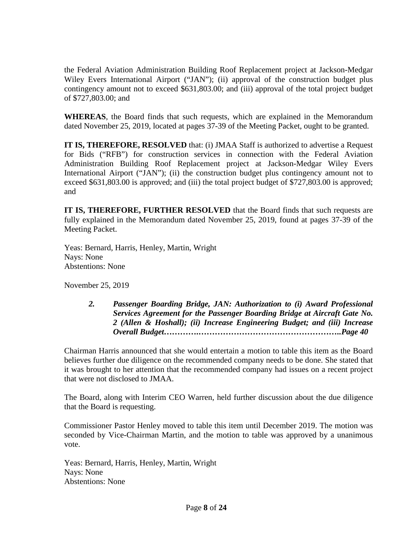the Federal Aviation Administration Building Roof Replacement project at Jackson-Medgar Wiley Evers International Airport ("JAN"); (ii) approval of the construction budget plus contingency amount not to exceed \$631,803.00; and (iii) approval of the total project budget of \$727,803.00; and

**WHEREAS**, the Board finds that such requests, which are explained in the Memorandum dated November 25, 2019, located at pages 37-39 of the Meeting Packet, ought to be granted.

**IT IS, THEREFORE, RESOLVED** that: (i) JMAA Staff is authorized to advertise a Request for Bids ("RFB") for construction services in connection with the Federal Aviation Administration Building Roof Replacement project at Jackson-Medgar Wiley Evers International Airport ("JAN"); (ii) the construction budget plus contingency amount not to exceed \$631,803.00 is approved; and (iii) the total project budget of \$727,803.00 is approved; and

**IT IS, THEREFORE, FURTHER RESOLVED** that the Board finds that such requests are fully explained in the Memorandum dated November 25, 2019, found at pages 37-39 of the Meeting Packet.

Yeas: Bernard, Harris, Henley, Martin, Wright Nays: None Abstentions: None

November 25, 2019

*2. Passenger Boarding Bridge, JAN: Authorization to (i) Award Professional Services Agreement for the Passenger Boarding Bridge at Aircraft Gate No. 2 (Allen & Hoshall); (ii) Increase Engineering Budget; and (iii) Increase Overall Budget………….……………………………………………..Page 40*

Chairman Harris announced that she would entertain a motion to table this item as the Board believes further due diligence on the recommended company needs to be done. She stated that it was brought to her attention that the recommended company had issues on a recent project that were not disclosed to JMAA.

The Board, along with Interim CEO Warren, held further discussion about the due diligence that the Board is requesting.

Commissioner Pastor Henley moved to table this item until December 2019. The motion was seconded by Vice-Chairman Martin, and the motion to table was approved by a unanimous vote.

Yeas: Bernard, Harris, Henley, Martin, Wright Nays: None Abstentions: None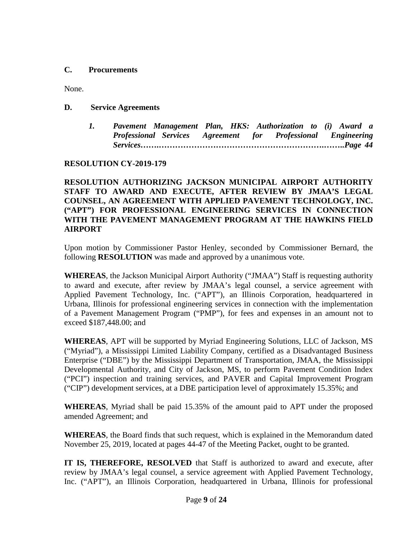### **C. Procurements**

None.

**D. Service Agreements**

*1. Pavement Management Plan, HKS: Authorization to (i) Award a Professional Services Agreement for Professional Engineering Services…….…………………………………………………….……..Page 44*

# **RESOLUTION CY-2019-179**

**RESOLUTION AUTHORIZING JACKSON MUNICIPAL AIRPORT AUTHORITY STAFF TO AWARD AND EXECUTE, AFTER REVIEW BY JMAA'S LEGAL COUNSEL, AN AGREEMENT WITH APPLIED PAVEMENT TECHNOLOGY, INC. ("APT") FOR PROFESSIONAL ENGINEERING SERVICES IN CONNECTION WITH THE PAVEMENT MANAGEMENT PROGRAM AT THE HAWKINS FIELD AIRPORT**

Upon motion by Commissioner Pastor Henley, seconded by Commissioner Bernard, the following **RESOLUTION** was made and approved by a unanimous vote.

**WHEREAS**, the Jackson Municipal Airport Authority ("JMAA") Staff is requesting authority to award and execute, after review by JMAA's legal counsel, a service agreement with Applied Pavement Technology, Inc. ("APT"), an Illinois Corporation, headquartered in Urbana, Illinois for professional engineering services in connection with the implementation of a Pavement Management Program ("PMP"), for fees and expenses in an amount not to exceed \$187,448.00; and

**WHEREAS**, APT will be supported by Myriad Engineering Solutions, LLC of Jackson, MS ("Myriad"), a Mississippi Limited Liability Company, certified as a Disadvantaged Business Enterprise ("DBE") by the Mississippi Department of Transportation, JMAA, the Mississippi Developmental Authority, and City of Jackson, MS, to perform Pavement Condition Index ("PCI") inspection and training services, and PAVER and Capital Improvement Program ("CIP") development services, at a DBE participation level of approximately 15.35%; and

**WHEREAS**, Myriad shall be paid 15.35% of the amount paid to APT under the proposed amended Agreement; and

**WHEREAS**, the Board finds that such request, which is explained in the Memorandum dated November 25, 2019, located at pages 44-47 of the Meeting Packet, ought to be granted.

**IT IS, THEREFORE, RESOLVED** that Staff is authorized to award and execute, after review by JMAA's legal counsel, a service agreement with Applied Pavement Technology, Inc. ("APT"), an Illinois Corporation, headquartered in Urbana, Illinois for professional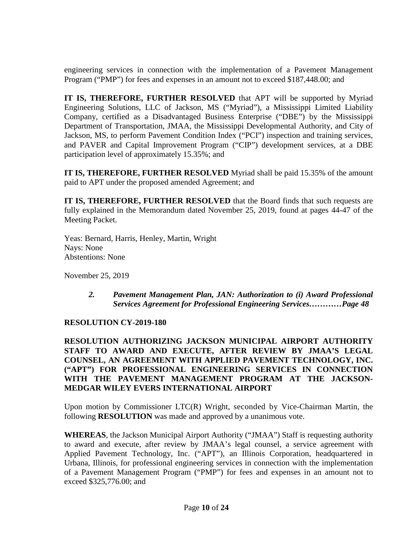engineering services in connection with the implementation of a Pavement Management Program ("PMP") for fees and expenses in an amount not to exceed \$187,448.00; and

**IT IS, THEREFORE, FURTHER RESOLVED** that APT will be supported by Myriad Engineering Solutions, LLC of Jackson, MS ("Myriad"), a Mississippi Limited Liability Company, certified as a Disadvantaged Business Enterprise ("DBE") by the Mississippi Department of Transportation, JMAA, the Mississippi Developmental Authority, and City of Jackson, MS, to perform Pavement Condition Index ("PCI") inspection and training services, and PAVER and Capital Improvement Program ("CIP") development services, at a DBE participation level of approximately 15.35%; and

**IT IS, THEREFORE, FURTHER RESOLVED** Myriad shall be paid 15.35% of the amount paid to APT under the proposed amended Agreement; and

**IT IS, THEREFORE, FURTHER RESOLVED** that the Board finds that such requests are fully explained in the Memorandum dated November 25, 2019, found at pages 44-47 of the Meeting Packet.

Yeas: Bernard, Harris, Henley, Martin, Wright Nays: None Abstentions: None

November 25, 2019

*2. Pavement Management Plan, JAN: Authorization to (i) Award Professional Services Agreement for Professional Engineering Services…………Page 48*

# **RESOLUTION CY-2019-180**

**RESOLUTION AUTHORIZING JACKSON MUNICIPAL AIRPORT AUTHORITY STAFF TO AWARD AND EXECUTE, AFTER REVIEW BY JMAA'S LEGAL COUNSEL, AN AGREEMENT WITH APPLIED PAVEMENT TECHNOLOGY, INC. ("APT") FOR PROFESSIONAL ENGINEERING SERVICES IN CONNECTION WITH THE PAVEMENT MANAGEMENT PROGRAM AT THE JACKSON-MEDGAR WILEY EVERS INTERNATIONAL AIRPORT**

Upon motion by Commissioner LTC(R) Wright, seconded by Vice-Chairman Martin, the following **RESOLUTION** was made and approved by a unanimous vote.

**WHEREAS**, the Jackson Municipal Airport Authority ("JMAA") Staff is requesting authority to award and execute, after review by JMAA's legal counsel, a service agreement with Applied Pavement Technology, Inc. ("APT"), an Illinois Corporation, headquartered in Urbana, Illinois, for professional engineering services in connection with the implementation of a Pavement Management Program ("PMP") for fees and expenses in an amount not to exceed \$325,776.00; and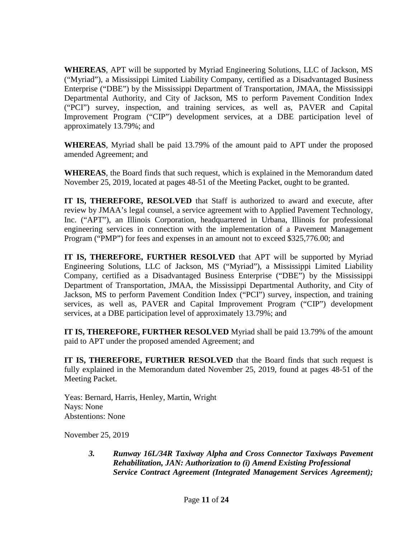**WHEREAS**, APT will be supported by Myriad Engineering Solutions, LLC of Jackson, MS ("Myriad"), a Mississippi Limited Liability Company, certified as a Disadvantaged Business Enterprise ("DBE") by the Mississippi Department of Transportation, JMAA, the Mississippi Departmental Authority, and City of Jackson, MS to perform Pavement Condition Index ("PCI") survey, inspection, and training services, as well as, PAVER and Capital Improvement Program ("CIP") development services, at a DBE participation level of approximately 13.79%; and

**WHEREAS**, Myriad shall be paid 13.79% of the amount paid to APT under the proposed amended Agreement; and

**WHEREAS**, the Board finds that such request, which is explained in the Memorandum dated November 25, 2019, located at pages 48-51 of the Meeting Packet, ought to be granted.

**IT IS, THEREFORE, RESOLVED** that Staff is authorized to award and execute, after review by JMAA's legal counsel, a service agreement with to Applied Pavement Technology, Inc. ("APT"), an Illinois Corporation, headquartered in Urbana, Illinois for professional engineering services in connection with the implementation of a Pavement Management Program ("PMP") for fees and expenses in an amount not to exceed \$325,776.00; and

**IT IS, THEREFORE, FURTHER RESOLVED** that APT will be supported by Myriad Engineering Solutions, LLC of Jackson, MS ("Myriad"), a Mississippi Limited Liability Company, certified as a Disadvantaged Business Enterprise ("DBE") by the Mississippi Department of Transportation, JMAA, the Mississippi Departmental Authority, and City of Jackson, MS to perform Pavement Condition Index ("PCI") survey, inspection, and training services, as well as, PAVER and Capital Improvement Program ("CIP") development services, at a DBE participation level of approximately 13.79%; and

**IT IS, THEREFORE, FURTHER RESOLVED** Myriad shall be paid 13.79% of the amount paid to APT under the proposed amended Agreement; and

**IT IS, THEREFORE, FURTHER RESOLVED** that the Board finds that such request is fully explained in the Memorandum dated November 25, 2019, found at pages 48-51 of the Meeting Packet.

Yeas: Bernard, Harris, Henley, Martin, Wright Nays: None Abstentions: None

November 25, 2019

*3. Runway 16L/34R Taxiway Alpha and Cross Connector Taxiways Pavement Rehabilitation, JAN: Authorization to (i) Amend Existing Professional Service Contract Agreement (Integrated Management Services Agreement);*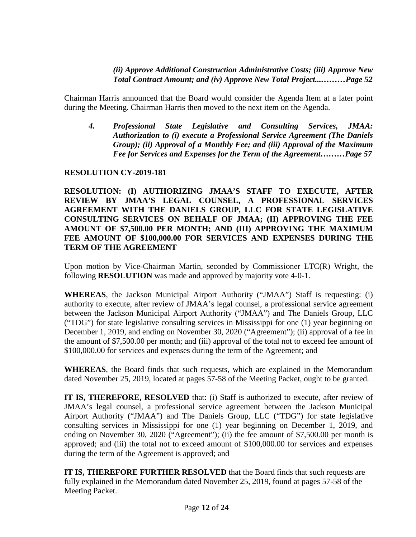### *(ii) Approve Additional Construction Administrative Costs; (iii) Approve New Total Contract Amount; and (iv) Approve New Total Project...………Page 52*

Chairman Harris announced that the Board would consider the Agenda Item at a later point during the Meeting. Chairman Harris then moved to the next item on the Agenda.

*4. Professional State Legislative and Consulting Services, JMAA: Authorization to (i) execute a Professional Service Agreement (The Daniels Group); (ii) Approval of a Monthly Fee; and (iii) Approval of the Maximum Fee for Services and Expenses for the Term of the Agreement………Page 57*

# **RESOLUTION CY-2019-181**

**RESOLUTION: (I) AUTHORIZING JMAA'S STAFF TO EXECUTE, AFTER REVIEW BY JMAA'S LEGAL COUNSEL, A PROFESSIONAL SERVICES AGREEMENT WITH THE DANIELS GROUP, LLC FOR STATE LEGISLATIVE CONSULTING SERVICES ON BEHALF OF JMAA; (II) APPROVING THE FEE AMOUNT OF \$7,500.00 PER MONTH; AND (III) APPROVING THE MAXIMUM FEE AMOUNT OF \$100,000.00 FOR SERVICES AND EXPENSES DURING THE TERM OF THE AGREEMENT**

Upon motion by Vice-Chairman Martin, seconded by Commissioner LTC(R) Wright, the following **RESOLUTION** was made and approved by majority vote 4-0-1.

**WHEREAS**, the Jackson Municipal Airport Authority ("JMAA") Staff is requesting: (i) authority to execute, after review of JMAA's legal counsel, a professional service agreement between the Jackson Municipal Airport Authority ("JMAA") and The Daniels Group, LLC ("TDG") for state legislative consulting services in Mississippi for one (1) year beginning on December 1, 2019, and ending on November 30, 2020 ("Agreement"); (ii) approval of a fee in the amount of \$7,500.00 per month; and (iii) approval of the total not to exceed fee amount of \$100,000.00 for services and expenses during the term of the Agreement; and

**WHEREAS**, the Board finds that such requests, which are explained in the Memorandum dated November 25, 2019, located at pages 57-58 of the Meeting Packet, ought to be granted.

**IT IS, THEREFORE, RESOLVED** that: (i) Staff is authorized to execute, after review of JMAA's legal counsel, a professional service agreement between the Jackson Municipal Airport Authority ("JMAA") and The Daniels Group, LLC ("TDG") for state legislative consulting services in Mississippi for one (1) year beginning on December 1, 2019, and ending on November 30, 2020 ("Agreement"); (ii) the fee amount of \$7,500.00 per month is approved; and (iii) the total not to exceed amount of \$100,000.00 for services and expenses during the term of the Agreement is approved; and

**IT IS, THEREFORE FURTHER RESOLVED** that the Board finds that such requests are fully explained in the Memorandum dated November 25, 2019, found at pages 57-58 of the Meeting Packet.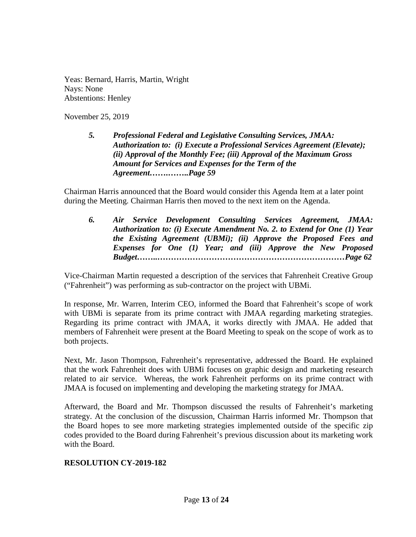Yeas: Bernard, Harris, Martin, Wright Nays: None Abstentions: Henley

November 25, 2019

*5. Professional Federal and Legislative Consulting Services, JMAA: Authorization to: (i) Execute a Professional Services Agreement (Elevate); (ii) Approval of the Monthly Fee; (iii) Approval of the Maximum Gross Amount for Services and Expenses for the Term of the Agreement…….……..Page 59*

Chairman Harris announced that the Board would consider this Agenda Item at a later point during the Meeting. Chairman Harris then moved to the next item on the Agenda.

*6. Air Service Development Consulting Services Agreement, JMAA: Authorization to: (i) Execute Amendment No. 2. to Extend for One (1) Year the Existing Agreement (UBMi); (ii) Approve the Proposed Fees and Expenses for One (1) Year; and (iii) Approve the New Proposed Budget……..……………………………………………………………Page 62*

Vice-Chairman Martin requested a description of the services that Fahrenheit Creative Group ("Fahrenheit") was performing as sub-contractor on the project with UBMi.

In response, Mr. Warren, Interim CEO, informed the Board that Fahrenheit's scope of work with UBMi is separate from its prime contract with JMAA regarding marketing strategies. Regarding its prime contract with JMAA, it works directly with JMAA. He added that members of Fahrenheit were present at the Board Meeting to speak on the scope of work as to both projects.

Next, Mr. Jason Thompson, Fahrenheit's representative, addressed the Board. He explained that the work Fahrenheit does with UBMi focuses on graphic design and marketing research related to air service. Whereas, the work Fahrenheit performs on its prime contract with JMAA is focused on implementing and developing the marketing strategy for JMAA.

Afterward, the Board and Mr. Thompson discussed the results of Fahrenheit's marketing strategy. At the conclusion of the discussion, Chairman Harris informed Mr. Thompson that the Board hopes to see more marketing strategies implemented outside of the specific zip codes provided to the Board during Fahrenheit's previous discussion about its marketing work with the Board.

# **RESOLUTION CY-2019-182**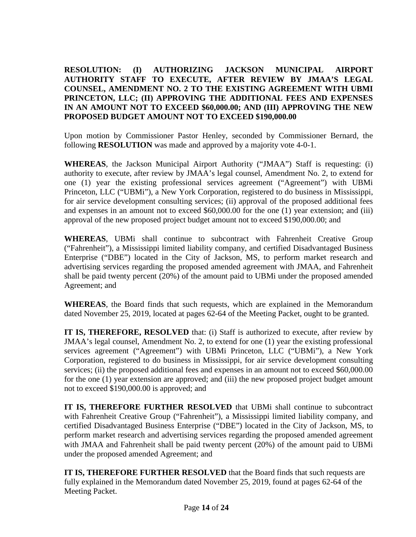**RESOLUTION: (I) AUTHORIZING JACKSON MUNICIPAL AIRPORT AUTHORITY STAFF TO EXECUTE, AFTER REVIEW BY JMAA'S LEGAL COUNSEL, AMENDMENT NO. 2 TO THE EXISTING AGREEMENT WITH UBMI PRINCETON, LLC; (II) APPROVING THE ADDITIONAL FEES AND EXPENSES IN AN AMOUNT NOT TO EXCEED \$60,000.00; AND (III) APPROVING THE NEW PROPOSED BUDGET AMOUNT NOT TO EXCEED \$190,000.00**

Upon motion by Commissioner Pastor Henley, seconded by Commissioner Bernard, the following **RESOLUTION** was made and approved by a majority vote 4-0-1.

**WHEREAS**, the Jackson Municipal Airport Authority ("JMAA") Staff is requesting: (i) authority to execute, after review by JMAA's legal counsel, Amendment No. 2, to extend for one (1) year the existing professional services agreement ("Agreement") with UBMi Princeton, LLC ("UBMi"), a New York Corporation, registered to do business in Mississippi, for air service development consulting services; (ii) approval of the proposed additional fees and expenses in an amount not to exceed \$60,000.00 for the one (1) year extension; and (iii) approval of the new proposed project budget amount not to exceed \$190,000.00; and

**WHEREAS**, UBMi shall continue to subcontract with Fahrenheit Creative Group ("Fahrenheit"), a Mississippi limited liability company, and certified Disadvantaged Business Enterprise ("DBE") located in the City of Jackson, MS, to perform market research and advertising services regarding the proposed amended agreement with JMAA, and Fahrenheit shall be paid twenty percent (20%) of the amount paid to UBMi under the proposed amended Agreement; and

**WHEREAS**, the Board finds that such requests, which are explained in the Memorandum dated November 25, 2019, located at pages 62-64 of the Meeting Packet, ought to be granted.

**IT IS, THEREFORE, RESOLVED** that: (i) Staff is authorized to execute, after review by JMAA's legal counsel, Amendment No. 2, to extend for one (1) year the existing professional services agreement ("Agreement") with UBMi Princeton, LLC ("UBMi"), a New York Corporation, registered to do business in Mississippi, for air service development consulting services; (ii) the proposed additional fees and expenses in an amount not to exceed \$60,000.00 for the one (1) year extension are approved; and (iii) the new proposed project budget amount not to exceed \$190,000.00 is approved; and

**IT IS, THEREFORE FURTHER RESOLVED** that UBMi shall continue to subcontract with Fahrenheit Creative Group ("Fahrenheit"), a Mississippi limited liability company, and certified Disadvantaged Business Enterprise ("DBE") located in the City of Jackson, MS, to perform market research and advertising services regarding the proposed amended agreement with JMAA and Fahrenheit shall be paid twenty percent (20%) of the amount paid to UBMi under the proposed amended Agreement; and

**IT IS, THEREFORE FURTHER RESOLVED** that the Board finds that such requests are fully explained in the Memorandum dated November 25, 2019, found at pages 62-64 of the Meeting Packet.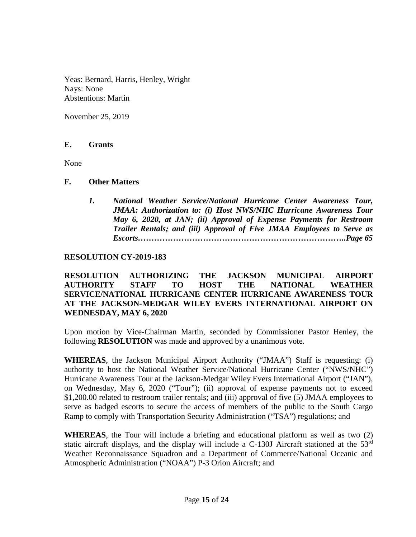Yeas: Bernard, Harris, Henley, Wright Nays: None Abstentions: Martin

November 25, 2019

### **E. Grants**

None

### **F. Other Matters**

*1. National Weather Service/National Hurricane Center Awareness Tour, JMAA: Authorization to: (i) Host NWS/NHC Hurricane Awareness Tour May 6, 2020, at JAN; (ii) Approval of Expense Payments for Restroom Trailer Rentals; and (iii) Approval of Five JMAA Employees to Serve as Escorts…………………………………………………………………..Page 65*

# **RESOLUTION CY-2019-183**

**RESOLUTION AUTHORIZING THE JACKSON MUNICIPAL AIRPORT AUTHORITY STAFF TO HOST THE NATIONAL WEATHER SERVICE/NATIONAL HURRICANE CENTER HURRICANE AWARENESS TOUR AT THE JACKSON-MEDGAR WILEY EVERS INTERNATIONAL AIRPORT ON WEDNESDAY, MAY 6, 2020**

Upon motion by Vice-Chairman Martin, seconded by Commissioner Pastor Henley, the following **RESOLUTION** was made and approved by a unanimous vote.

**WHEREAS**, the Jackson Municipal Airport Authority ("JMAA") Staff is requesting: (i) authority to host the National Weather Service/National Hurricane Center ("NWS/NHC") Hurricane Awareness Tour at the Jackson-Medgar Wiley Evers International Airport ("JAN"), on Wednesday, May 6, 2020 ("Tour"); (ii) approval of expense payments not to exceed \$1,200.00 related to restroom trailer rentals; and (iii) approval of five (5) JMAA employees to serve as badged escorts to secure the access of members of the public to the South Cargo Ramp to comply with Transportation Security Administration ("TSA") regulations; and

**WHEREAS**, the Tour will include a briefing and educational platform as well as two (2) static aircraft displays, and the display will include a C-130J Aircraft stationed at the 53rd Weather Reconnaissance Squadron and a Department of Commerce/National Oceanic and Atmospheric Administration ("NOAA") P-3 Orion Aircraft; and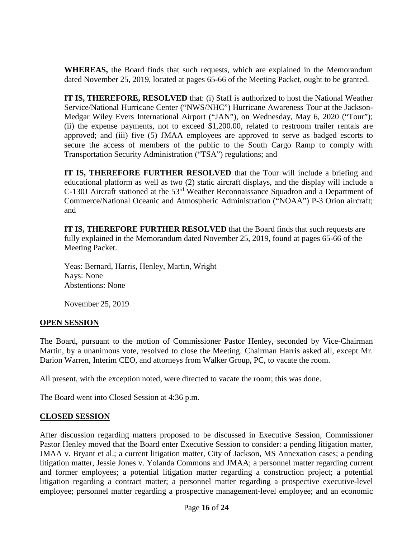**WHEREAS,** the Board finds that such requests, which are explained in the Memorandum dated November 25, 2019, located at pages 65-66 of the Meeting Packet, ought to be granted.

**IT IS, THEREFORE, RESOLVED** that: (i) Staff is authorized to host the National Weather Service/National Hurricane Center ("NWS/NHC") Hurricane Awareness Tour at the Jackson-Medgar Wiley Evers International Airport ("JAN"), on Wednesday, May 6, 2020 ("Tour"); (ii) the expense payments, not to exceed \$1,200.00, related to restroom trailer rentals are approved; and (iii) five (5) JMAA employees are approved to serve as badged escorts to secure the access of members of the public to the South Cargo Ramp to comply with Transportation Security Administration ("TSA") regulations; and

**IT IS, THEREFORE FURTHER RESOLVED** that the Tour will include a briefing and educational platform as well as two (2) static aircraft displays, and the display will include a C-130J Aircraft stationed at the 53rd Weather Reconnaissance Squadron and a Department of Commerce/National Oceanic and Atmospheric Administration ("NOAA") P-3 Orion aircraft; and

**IT IS, THEREFORE FURTHER RESOLVED** that the Board finds that such requests are fully explained in the Memorandum dated November 25, 2019, found at pages 65-66 of the Meeting Packet.

Yeas: Bernard, Harris, Henley, Martin, Wright Nays: None Abstentions: None

November 25, 2019

# **OPEN SESSION**

The Board, pursuant to the motion of Commissioner Pastor Henley, seconded by Vice-Chairman Martin, by a unanimous vote, resolved to close the Meeting. Chairman Harris asked all, except Mr. Darion Warren, Interim CEO, and attorneys from Walker Group, PC, to vacate the room.

All present, with the exception noted, were directed to vacate the room; this was done.

The Board went into Closed Session at 4:36 p.m.

# **CLOSED SESSION**

After discussion regarding matters proposed to be discussed in Executive Session, Commissioner Pastor Henley moved that the Board enter Executive Session to consider: a pending litigation matter, JMAA v. Bryant et al.; a current litigation matter, City of Jackson, MS Annexation cases; a pending litigation matter, Jessie Jones v. Yolanda Commons and JMAA; a personnel matter regarding current and former employees; a potential litigation matter regarding a construction project; a potential litigation regarding a contract matter; a personnel matter regarding a prospective executive-level employee; personnel matter regarding a prospective management-level employee; and an economic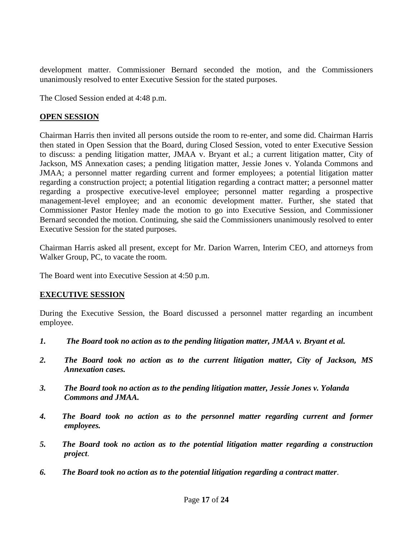development matter. Commissioner Bernard seconded the motion, and the Commissioners unanimously resolved to enter Executive Session for the stated purposes.

The Closed Session ended at 4:48 p.m.

### **OPEN SESSION**

Chairman Harris then invited all persons outside the room to re-enter, and some did. Chairman Harris then stated in Open Session that the Board, during Closed Session, voted to enter Executive Session to discuss: a pending litigation matter, JMAA v. Bryant et al.; a current litigation matter, City of Jackson, MS Annexation cases; a pending litigation matter, Jessie Jones v. Yolanda Commons and JMAA; a personnel matter regarding current and former employees; a potential litigation matter regarding a construction project; a potential litigation regarding a contract matter; a personnel matter regarding a prospective executive-level employee; personnel matter regarding a prospective management-level employee; and an economic development matter. Further, she stated that Commissioner Pastor Henley made the motion to go into Executive Session, and Commissioner Bernard seconded the motion. Continuing, she said the Commissioners unanimously resolved to enter Executive Session for the stated purposes.

Chairman Harris asked all present, except for Mr. Darion Warren, Interim CEO, and attorneys from Walker Group, PC, to vacate the room.

The Board went into Executive Session at 4:50 p.m.

# **EXECUTIVE SESSION**

During the Executive Session, the Board discussed a personnel matter regarding an incumbent employee.

- *1. The Board took no action as to the pending litigation matter, JMAA v. Bryant et al.*
- *2. The Board took no action as to the current litigation matter, City of Jackson, MS Annexation cases.*
- *3. The Board took no action as to the pending litigation matter, Jessie Jones v. Yolanda Commons and JMAA.*
- *4. The Board took no action as to the personnel matter regarding current and former employees.*
- *5. The Board took no action as to the potential litigation matter regarding a construction project*.
- *6. The Board took no action as to the potential litigation regarding a contract matter*.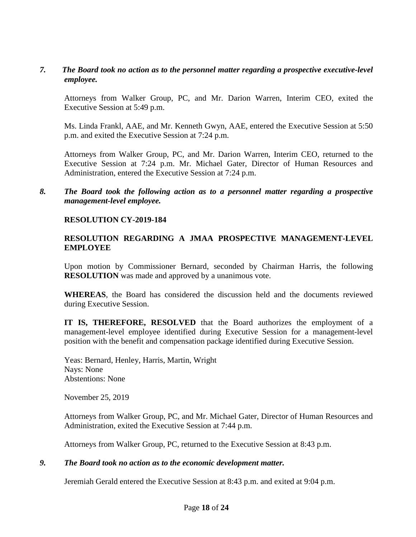### *7. The Board took no action as to the personnel matter regarding a prospective executive-level employee.*

Attorneys from Walker Group, PC, and Mr. Darion Warren, Interim CEO, exited the Executive Session at 5:49 p.m.

Ms. Linda Frankl, AAE, and Mr. Kenneth Gwyn, AAE, entered the Executive Session at 5:50 p.m. and exited the Executive Session at 7:24 p.m.

Attorneys from Walker Group, PC, and Mr. Darion Warren, Interim CEO, returned to the Executive Session at 7:24 p.m. Mr. Michael Gater, Director of Human Resources and Administration, entered the Executive Session at 7:24 p.m.

*8. The Board took the following action as to a personnel matter regarding a prospective management-level employee.*

### **RESOLUTION CY-2019-184**

### **RESOLUTION REGARDING A JMAA PROSPECTIVE MANAGEMENT-LEVEL EMPLOYEE**

Upon motion by Commissioner Bernard, seconded by Chairman Harris, the following **RESOLUTION** was made and approved by a unanimous vote.

**WHEREAS**, the Board has considered the discussion held and the documents reviewed during Executive Session.

**IT IS, THEREFORE, RESOLVED** that the Board authorizes the employment of a management-level employee identified during Executive Session for a management-level position with the benefit and compensation package identified during Executive Session.

Yeas: Bernard, Henley, Harris, Martin, Wright Nays: None Abstentions: None

November 25, 2019

Attorneys from Walker Group, PC, and Mr. Michael Gater, Director of Human Resources and Administration, exited the Executive Session at 7:44 p.m.

Attorneys from Walker Group, PC, returned to the Executive Session at 8:43 p.m.

#### *9. The Board took no action as to the economic development matter.*

Jeremiah Gerald entered the Executive Session at 8:43 p.m. and exited at 9:04 p.m.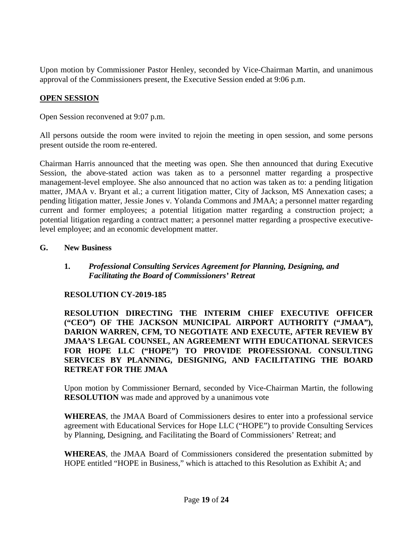Upon motion by Commissioner Pastor Henley, seconded by Vice-Chairman Martin, and unanimous approval of the Commissioners present, the Executive Session ended at 9:06 p.m.

# **OPEN SESSION**

Open Session reconvened at 9:07 p.m.

All persons outside the room were invited to rejoin the meeting in open session, and some persons present outside the room re-entered.

Chairman Harris announced that the meeting was open. She then announced that during Executive Session, the above-stated action was taken as to a personnel matter regarding a prospective management-level employee. She also announced that no action was taken as to: a pending litigation matter, JMAA v. Bryant et al.; a current litigation matter, City of Jackson, MS Annexation cases; a pending litigation matter, Jessie Jones v. Yolanda Commons and JMAA; a personnel matter regarding current and former employees; a potential litigation matter regarding a construction project; a potential litigation regarding a contract matter; a personnel matter regarding a prospective executivelevel employee; and an economic development matter.

# **G. New Business**

**1.** *Professional Consulting Services Agreement for Planning, Designing, and Facilitating the Board of Commissioners' Retreat*

# **RESOLUTION CY-2019-185**

**RESOLUTION DIRECTING THE INTERIM CHIEF EXECUTIVE OFFICER ("CEO") OF THE JACKSON MUNICIPAL AIRPORT AUTHORITY ("JMAA"), DARION WARREN, CFM, TO NEGOTIATE AND EXECUTE, AFTER REVIEW BY JMAA'S LEGAL COUNSEL, AN AGREEMENT WITH EDUCATIONAL SERVICES FOR HOPE LLC ("HOPE") TO PROVIDE PROFESSIONAL CONSULTING SERVICES BY PLANNING, DESIGNING, AND FACILITATING THE BOARD RETREAT FOR THE JMAA**

Upon motion by Commissioner Bernard, seconded by Vice-Chairman Martin, the following **RESOLUTION** was made and approved by a unanimous vote

**WHEREAS**, the JMAA Board of Commissioners desires to enter into a professional service agreement with Educational Services for Hope LLC ("HOPE") to provide Consulting Services by Planning, Designing, and Facilitating the Board of Commissioners' Retreat; and

**WHEREAS**, the JMAA Board of Commissioners considered the presentation submitted by HOPE entitled "HOPE in Business," which is attached to this Resolution as Exhibit A; and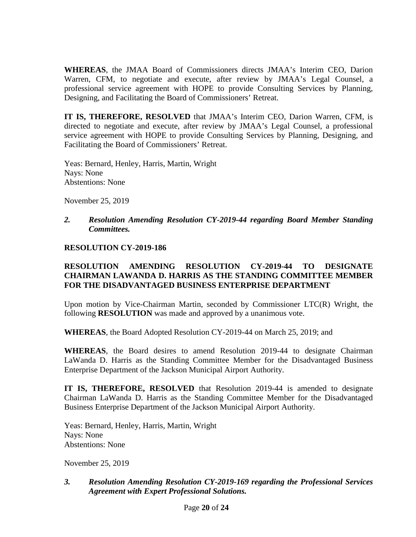**WHEREAS**, the JMAA Board of Commissioners directs JMAA's Interim CEO, Darion Warren, CFM, to negotiate and execute, after review by JMAA's Legal Counsel, a professional service agreement with HOPE to provide Consulting Services by Planning, Designing, and Facilitating the Board of Commissioners' Retreat.

**IT IS, THEREFORE, RESOLVED** that JMAA's Interim CEO, Darion Warren, CFM, is directed to negotiate and execute, after review by JMAA's Legal Counsel, a professional service agreement with HOPE to provide Consulting Services by Planning, Designing, and Facilitating the Board of Commissioners' Retreat.

Yeas: Bernard, Henley, Harris, Martin, Wright Nays: None Abstentions: None

November 25, 2019

### *2. Resolution Amending Resolution CY-2019-44 regarding Board Member Standing Committees.*

#### **RESOLUTION CY-2019-186**

# **RESOLUTION AMENDING RESOLUTION CY-2019-44 TO DESIGNATE CHAIRMAN LAWANDA D. HARRIS AS THE STANDING COMMITTEE MEMBER FOR THE DISADVANTAGED BUSINESS ENTERPRISE DEPARTMENT**

Upon motion by Vice-Chairman Martin, seconded by Commissioner LTC(R) Wright, the following **RESOLUTION** was made and approved by a unanimous vote.

**WHEREAS**, the Board Adopted Resolution CY-2019-44 on March 25, 2019; and

**WHEREAS**, the Board desires to amend Resolution 2019-44 to designate Chairman LaWanda D. Harris as the Standing Committee Member for the Disadvantaged Business Enterprise Department of the Jackson Municipal Airport Authority.

**IT IS, THEREFORE, RESOLVED** that Resolution 2019-44 is amended to designate Chairman LaWanda D. Harris as the Standing Committee Member for the Disadvantaged Business Enterprise Department of the Jackson Municipal Airport Authority.

Yeas: Bernard, Henley, Harris, Martin, Wright Nays: None Abstentions: None

November 25, 2019

*3. Resolution Amending Resolution CY-2019-169 regarding the Professional Services Agreement with Expert Professional Solutions.*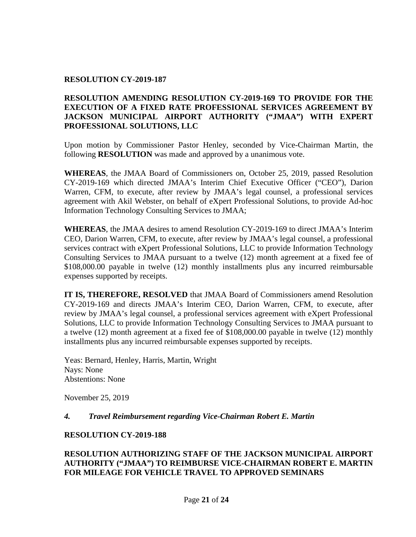# **RESOLUTION CY-2019-187**

# **RESOLUTION AMENDING RESOLUTION CY-2019-169 TO PROVIDE FOR THE EXECUTION OF A FIXED RATE PROFESSIONAL SERVICES AGREEMENT BY JACKSON MUNICIPAL AIRPORT AUTHORITY ("JMAA") WITH EXPERT PROFESSIONAL SOLUTIONS, LLC**

Upon motion by Commissioner Pastor Henley, seconded by Vice-Chairman Martin, the following **RESOLUTION** was made and approved by a unanimous vote.

**WHEREAS**, the JMAA Board of Commissioners on, October 25, 2019, passed Resolution CY-2019-169 which directed JMAA's Interim Chief Executive Officer ("CEO"), Darion Warren, CFM, to execute, after review by JMAA's legal counsel, a professional services agreement with Akil Webster, on behalf of eXpert Professional Solutions, to provide Ad-hoc Information Technology Consulting Services to JMAA;

**WHEREAS**, the JMAA desires to amend Resolution CY-2019-169 to direct JMAA's Interim CEO, Darion Warren, CFM, to execute, after review by JMAA's legal counsel, a professional services contract with eXpert Professional Solutions, LLC to provide Information Technology Consulting Services to JMAA pursuant to a twelve (12) month agreement at a fixed fee of \$108,000.00 payable in twelve (12) monthly installments plus any incurred reimbursable expenses supported by receipts.

**IT IS, THEREFORE, RESOLVED** that JMAA Board of Commissioners amend Resolution CY-2019-169 and directs JMAA's Interim CEO, Darion Warren, CFM, to execute, after review by JMAA's legal counsel, a professional services agreement with eXpert Professional Solutions, LLC to provide Information Technology Consulting Services to JMAA pursuant to a twelve (12) month agreement at a fixed fee of \$108,000.00 payable in twelve (12) monthly installments plus any incurred reimbursable expenses supported by receipts.

Yeas: Bernard, Henley, Harris, Martin, Wright Nays: None Abstentions: None

November 25, 2019

#### *4. Travel Reimbursement regarding Vice-Chairman Robert E. Martin*

#### **RESOLUTION CY-2019-188**

# **RESOLUTION AUTHORIZING STAFF OF THE JACKSON MUNICIPAL AIRPORT AUTHORITY ("JMAA") TO REIMBURSE VICE-CHAIRMAN ROBERT E. MARTIN FOR MILEAGE FOR VEHICLE TRAVEL TO APPROVED SEMINARS**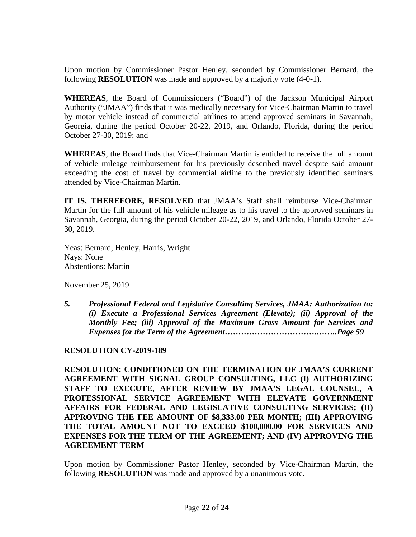Upon motion by Commissioner Pastor Henley, seconded by Commissioner Bernard, the following **RESOLUTION** was made and approved by a majority vote (4-0-1).

**WHEREAS**, the Board of Commissioners ("Board") of the Jackson Municipal Airport Authority ("JMAA") finds that it was medically necessary for Vice-Chairman Martin to travel by motor vehicle instead of commercial airlines to attend approved seminars in Savannah, Georgia, during the period October 20-22, 2019, and Orlando, Florida, during the period October 27-30, 2019; and

**WHEREAS**, the Board finds that Vice-Chairman Martin is entitled to receive the full amount of vehicle mileage reimbursement for his previously described travel despite said amount exceeding the cost of travel by commercial airline to the previously identified seminars attended by Vice-Chairman Martin.

**IT IS, THEREFORE, RESOLVED** that JMAA's Staff shall reimburse Vice-Chairman Martin for the full amount of his vehicle mileage as to his travel to the approved seminars in Savannah, Georgia, during the period October 20-22, 2019, and Orlando, Florida October 27- 30, 2019.

Yeas: Bernard, Henley, Harris, Wright Nays: None Abstentions: Martin

November 25, 2019

*5. Professional Federal and Legislative Consulting Services, JMAA: Authorization to: (i) Execute a Professional Services Agreement (Elevate); (ii) Approval of the Monthly Fee; (iii) Approval of the Maximum Gross Amount for Services and Expenses for the Term of the Agreement…………………………….……..Page 59*

# **RESOLUTION CY-2019-189**

**RESOLUTION: CONDITIONED ON THE TERMINATION OF JMAA'S CURRENT AGREEMENT WITH SIGNAL GROUP CONSULTING, LLC (I) AUTHORIZING STAFF TO EXECUTE, AFTER REVIEW BY JMAA'S LEGAL COUNSEL, A PROFESSIONAL SERVICE AGREEMENT WITH ELEVATE GOVERNMENT AFFAIRS FOR FEDERAL AND LEGISLATIVE CONSULTING SERVICES; (II) APPROVING THE FEE AMOUNT OF \$8,333.00 PER MONTH; (III) APPROVING THE TOTAL AMOUNT NOT TO EXCEED \$100,000.00 FOR SERVICES AND EXPENSES FOR THE TERM OF THE AGREEMENT; AND (IV) APPROVING THE AGREEMENT TERM**

Upon motion by Commissioner Pastor Henley, seconded by Vice-Chairman Martin, the following **RESOLUTION** was made and approved by a unanimous vote.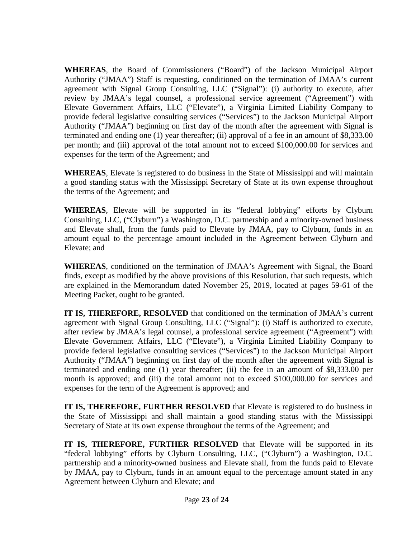**WHEREAS**, the Board of Commissioners ("Board") of the Jackson Municipal Airport Authority ("JMAA") Staff is requesting, conditioned on the termination of JMAA's current agreement with Signal Group Consulting, LLC ("Signal"): (i) authority to execute, after review by JMAA's legal counsel, a professional service agreement ("Agreement") with Elevate Government Affairs, LLC ("Elevate"), a Virginia Limited Liability Company to provide federal legislative consulting services ("Services") to the Jackson Municipal Airport Authority ("JMAA") beginning on first day of the month after the agreement with Signal is terminated and ending one (1) year thereafter; (ii) approval of a fee in an amount of \$8,333.00 per month; and (iii) approval of the total amount not to exceed \$100,000.00 for services and expenses for the term of the Agreement; and

**WHEREAS**, Elevate is registered to do business in the State of Mississippi and will maintain a good standing status with the Mississippi Secretary of State at its own expense throughout the terms of the Agreement; and

**WHEREAS**, Elevate will be supported in its "federal lobbying" efforts by Clyburn Consulting, LLC, ("Clyburn") a Washington, D.C. partnership and a minority-owned business and Elevate shall, from the funds paid to Elevate by JMAA, pay to Clyburn, funds in an amount equal to the percentage amount included in the Agreement between Clyburn and Elevate; and

**WHEREAS**, conditioned on the termination of JMAA's Agreement with Signal, the Board finds, except as modified by the above provisions of this Resolution, that such requests, which are explained in the Memorandum dated November 25, 2019, located at pages 59-61 of the Meeting Packet, ought to be granted.

**IT IS, THEREFORE, RESOLVED** that conditioned on the termination of JMAA's current agreement with Signal Group Consulting, LLC ("Signal"): (i) Staff is authorized to execute, after review by JMAA's legal counsel, a professional service agreement ("Agreement") with Elevate Government Affairs, LLC ("Elevate"), a Virginia Limited Liability Company to provide federal legislative consulting services ("Services") to the Jackson Municipal Airport Authority ("JMAA") beginning on first day of the month after the agreement with Signal is terminated and ending one (1) year thereafter; (ii) the fee in an amount of \$8,333.00 per month is approved; and (iii) the total amount not to exceed \$100,000.00 for services and expenses for the term of the Agreement is approved; and

**IT IS, THEREFORE, FURTHER RESOLVED** that Elevate is registered to do business in the State of Mississippi and shall maintain a good standing status with the Mississippi Secretary of State at its own expense throughout the terms of the Agreement; and

**IT IS, THEREFORE, FURTHER RESOLVED** that Elevate will be supported in its "federal lobbying" efforts by Clyburn Consulting, LLC, ("Clyburn") a Washington, D.C. partnership and a minority-owned business and Elevate shall, from the funds paid to Elevate by JMAA, pay to Clyburn, funds in an amount equal to the percentage amount stated in any Agreement between Clyburn and Elevate; and